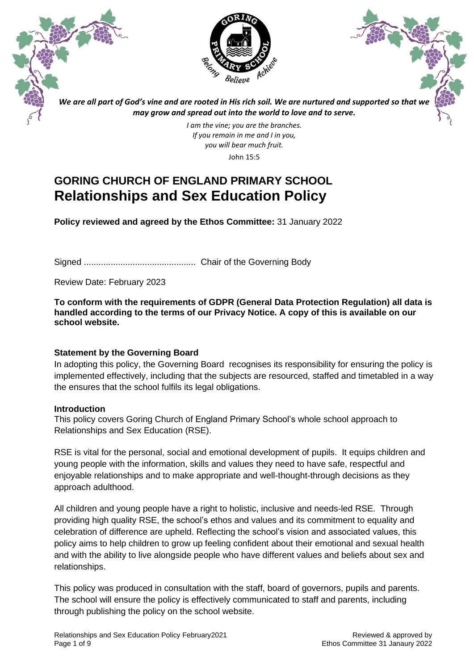



*We are all part of God's vine and are rooted in His rich soil. We are nurtured and supported so that we may grow and spread out into the world to love and to serve.*

> *I am the vine; you are the branches. If you remain in me and I in you, you will bear much fruit.* John 15:5

# **GORING CHURCH OF ENGLAND PRIMARY SCHOOL Relationships and Sex Education Policy**

**Policy reviewed and agreed by the Ethos Committee:** 31 January 2022

Signed .............................................. Chair of the Governing Body

Review Date: February 2023

**To conform with the requirements of GDPR (General Data Protection Regulation) all data is handled according to the terms of our Privacy Notice. A copy of this is available on our school website.**

# **Statement by the Governing Board**

In adopting this policy, the Governing Board recognises its responsibility for ensuring the policy is implemented effectively, including that the subjects are resourced, staffed and timetabled in a way the ensures that the school fulfils its legal obligations.

# **Introduction**

This policy covers Goring Church of England Primary School's whole school approach to Relationships and Sex Education (RSE).

RSE is vital for the personal, social and emotional development of pupils. It equips children and young people with the information, skills and values they need to have safe, respectful and enjoyable relationships and to make appropriate and well-thought-through decisions as they approach adulthood.

All children and young people have a right to holistic, inclusive and needs-led RSE. Through providing high quality RSE, the school's ethos and values and its commitment to equality and celebration of difference are upheld. Reflecting the school's vision and associated values, this policy aims to help children to grow up feeling confident about their emotional and sexual health and with the ability to live alongside people who have different values and beliefs about sex and relationships.

This policy was produced in consultation with the staff, board of governors, pupils and parents. The school will ensure the policy is effectively communicated to staff and parents, including through publishing the policy on the school website.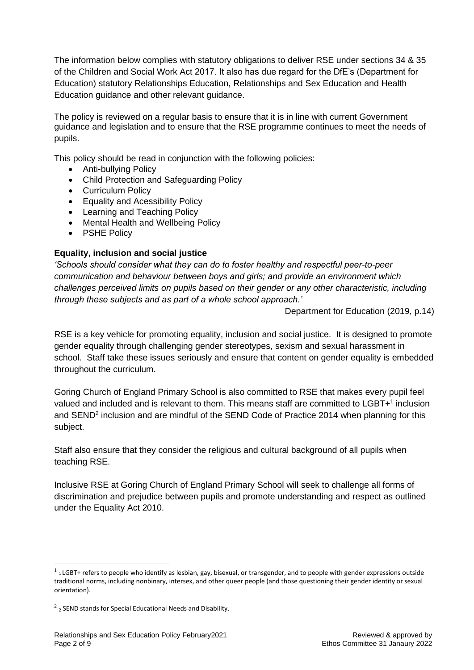The information below complies with statutory obligations to deliver RSE under sections 34 & 35 of the Children and Social Work Act 2017. It also has due regard for the DfE's (Department for Education) statutory Relationships Education, Relationships and Sex Education and Health Education guidance and other relevant guidance.

The policy is reviewed on a regular basis to ensure that it is in line with current Government guidance and legislation and to ensure that the RSE programme continues to meet the needs of pupils.

This policy should be read in conjunction with the following policies:

- Anti-bullying Policy
- Child Protection and Safeguarding Policy
- Curriculum Policy
- Equality and Acessibility Policy
- Learning and Teaching Policy
- Mental Health and Wellbeing Policy
- PSHE Policy

### **Equality, inclusion and social justice**

*'Schools should consider what they can do to foster healthy and respectful peer-to-peer communication and behaviour between boys and girls; and provide an environment which challenges perceived limits on pupils based on their gender or any other characteristic, including through these subjects and as part of a whole school approach.'*

Department for Education (2019, p.14)

RSE is a key vehicle for promoting equality, inclusion and social justice. It is designed to promote gender equality through challenging gender stereotypes, sexism and sexual harassment in school. Staff take these issues seriously and ensure that content on gender equality is embedded throughout the curriculum.

Goring Church of England Primary School is also committed to RSE that makes every pupil feel valued and included and is relevant to them. This means staff are committed to LGBT+<sup>1</sup> inclusion and SEND<sup>2</sup> inclusion and are mindful of the SEND Code of Practice 2014 when planning for this subject.

Staff also ensure that they consider the religious and cultural background of all pupils when teaching RSE.

Inclusive RSE at Goring Church of England Primary School will seek to challenge all forms of discrimination and prejudice between pupils and promote understanding and respect as outlined under the Equality Act 2010.

 $^1$  1 LGBT+ refers to people who identify as lesbian, gay, bisexual, or transgender, and to people with gender expressions outside traditional norms, including nonbinary, intersex, and other queer people (and those questioning their gender identity or sexual orientation).

 $^{2}$  2 SEND stands for Special Educational Needs and Disability.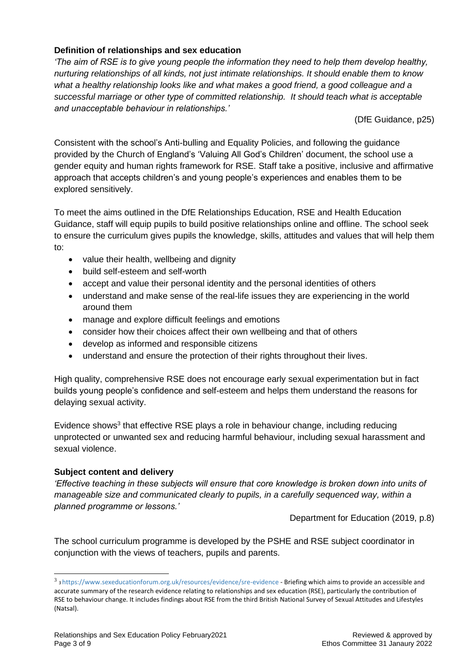# **Definition of relationships and sex education**

*'The aim of RSE is to give young people the information they need to help them develop healthy, nurturing relationships of all kinds, not just intimate relationships. It should enable them to know*  what a healthy relationship looks like and what makes a good friend, a good colleague and a *successful marriage or other type of committed relationship. It should teach what is acceptable and unacceptable behaviour in relationships.'*

(DfE Guidance, p25)

Consistent with the school's Anti-bulling and Equality Policies, and following the guidance provided by the Church of England's 'Valuing All God's Children' document, the school use a gender equity and human rights framework for RSE. Staff take a positive, inclusive and affirmative approach that accepts children's and young people's experiences and enables them to be explored sensitively.

To meet the aims outlined in the DfE Relationships Education, RSE and Health Education Guidance, staff will equip pupils to build positive relationships online and offline. The school seek to ensure the curriculum gives pupils the knowledge, skills, attitudes and values that will help them to:

- value their health, wellbeing and dignity
- build self-esteem and self-worth
- accept and value their personal identity and the personal identities of others
- understand and make sense of the real-life issues they are experiencing in the world around them
- manage and explore difficult feelings and emotions
- consider how their choices affect their own wellbeing and that of others
- develop as informed and responsible citizens
- understand and ensure the protection of their rights throughout their lives.

High quality, comprehensive RSE does not encourage early sexual experimentation but in fact builds young people's confidence and self-esteem and helps them understand the reasons for delaying sexual activity.

Evidence shows<sup>3</sup> that effective RSE plays a role in behaviour change, including reducing unprotected or unwanted sex and reducing harmful behaviour, including sexual harassment and sexual violence.

#### **Subject content and delivery**

*'Effective teaching in these subjects will ensure that core knowledge is broken down into units of manageable size and communicated clearly to pupils, in a carefully sequenced way, within a planned programme or lessons.'*

Department for Education (2019, p.8)

The school curriculum programme is developed by the PSHE and RSE subject coordinator in conjunction with the views of teachers, pupils and parents.

<sup>&</sup>lt;sup>3</sup> 3 <https://www.sexeducationforum.org.uk/resources/evidence/sre-evidence> - Bri<mark>efing which aims to provide an accessible and</mark> accurate summary of the research evidence relating to relationships and sex education (RSE), particularly the contribution of RSE to behaviour change. It includes findings about RSE from the third British National Survey of Sexual Attitudes and Lifestyles (Natsal).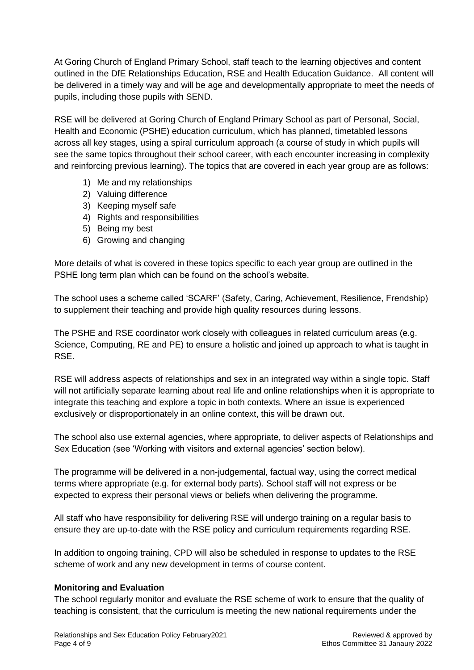At Goring Church of England Primary School, staff teach to the learning objectives and content outlined in the DfE Relationships Education, RSE and Health Education Guidance. All content will be delivered in a timely way and will be age and developmentally appropriate to meet the needs of pupils, including those pupils with SEND.

RSE will be delivered at Goring Church of England Primary School as part of Personal, Social, Health and Economic (PSHE) education curriculum, which has planned, timetabled lessons across all key stages, using a spiral curriculum approach (a course of study in which pupils will see the same topics throughout their school career, with each encounter increasing in complexity and reinforcing previous learning). The topics that are covered in each year group are as follows:

- 1) Me and my relationships
- 2) Valuing difference
- 3) Keeping myself safe
- 4) Rights and responsibilities
- 5) Being my best
- 6) Growing and changing

More details of what is covered in these topics specific to each year group are outlined in the PSHE long term plan which can be found on the school's website.

The school uses a scheme called 'SCARF' (Safety, Caring, Achievement, Resilience, Frendship) to supplement their teaching and provide high quality resources during lessons.

The PSHE and RSE coordinator work closely with colleagues in related curriculum areas (e.g. Science, Computing, RE and PE) to ensure a holistic and joined up approach to what is taught in RSE.

RSE will address aspects of relationships and sex in an integrated way within a single topic. Staff will not artificially separate learning about real life and online relationships when it is appropriate to integrate this teaching and explore a topic in both contexts. Where an issue is experienced exclusively or disproportionately in an online context, this will be drawn out.

The school also use external agencies, where appropriate, to deliver aspects of Relationships and Sex Education (see 'Working with visitors and external agencies' section below).

The programme will be delivered in a non-judgemental, factual way, using the correct medical terms where appropriate (e.g. for external body parts). School staff will not express or be expected to express their personal views or beliefs when delivering the programme.

All staff who have responsibility for delivering RSE will undergo training on a regular basis to ensure they are up-to-date with the RSE policy and curriculum requirements regarding RSE.

In addition to ongoing training, CPD will also be scheduled in response to updates to the RSE scheme of work and any new development in terms of course content.

#### **Monitoring and Evaluation**

The school regularly monitor and evaluate the RSE scheme of work to ensure that the quality of teaching is consistent, that the curriculum is meeting the new national requirements under the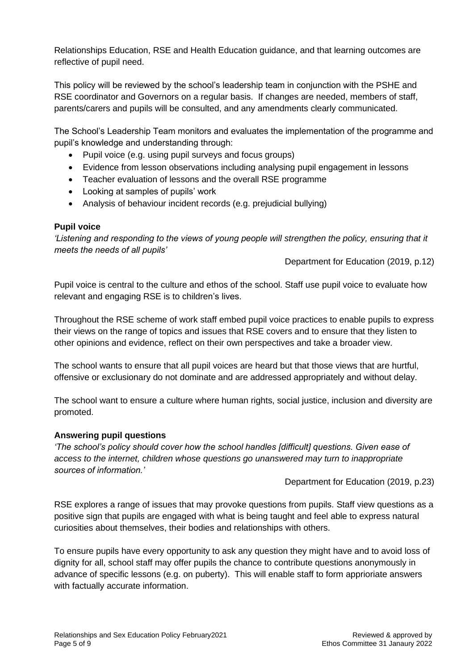Relationships Education, RSE and Health Education guidance, and that learning outcomes are reflective of pupil need.

This policy will be reviewed by the school's leadership team in conjunction with the PSHE and RSE coordinator and Governors on a regular basis. If changes are needed, members of staff, parents/carers and pupils will be consulted, and any amendments clearly communicated.

The School's Leadership Team monitors and evaluates the implementation of the programme and pupil's knowledge and understanding through:

- Pupil voice (e.g. using pupil surveys and focus groups)
- Evidence from lesson observations including analysing pupil engagement in lessons
- Teacher evaluation of lessons and the overall RSE programme
- Looking at samples of pupils' work
- Analysis of behaviour incident records (e.g. prejudicial bullying)

### **Pupil voice**

*'Listening and responding to the views of young people will strengthen the policy, ensuring that it meets the needs of all pupils'*

Department for Education (2019, p.12)

Pupil voice is central to the culture and ethos of the school. Staff use pupil voice to evaluate how relevant and engaging RSE is to children's lives.

Throughout the RSE scheme of work staff embed pupil voice practices to enable pupils to express their views on the range of topics and issues that RSE covers and to ensure that they listen to other opinions and evidence, reflect on their own perspectives and take a broader view.

The school wants to ensure that all pupil voices are heard but that those views that are hurtful, offensive or exclusionary do not dominate and are addressed appropriately and without delay.

The school want to ensure a culture where human rights, social justice, inclusion and diversity are promoted.

#### **Answering pupil questions**

*'The school's policy should cover how the school handles [difficult] questions. Given ease of access to the internet, children whose questions go unanswered may turn to inappropriate sources of information.'*

Department for Education (2019, p.23)

RSE explores a range of issues that may provoke questions from pupils. Staff view questions as a positive sign that pupils are engaged with what is being taught and feel able to express natural curiosities about themselves, their bodies and relationships with others.

To ensure pupils have every opportunity to ask any question they might have and to avoid loss of dignity for all, school staff may offer pupils the chance to contribute questions anonymously in advance of specific lessons (e.g. on puberty). This will enable staff to form apprioriate answers with factually accurate information.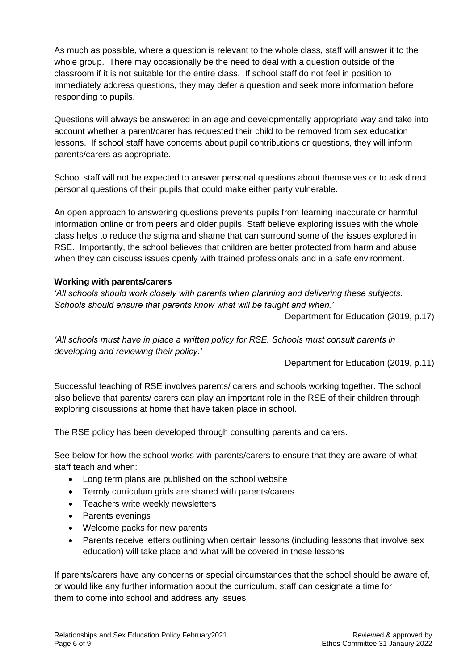As much as possible, where a question is relevant to the whole class, staff will answer it to the whole group. There may occasionally be the need to deal with a question outside of the classroom if it is not suitable for the entire class. If school staff do not feel in position to immediately address questions, they may defer a question and seek more information before responding to pupils.

Questions will always be answered in an age and developmentally appropriate way and take into account whether a parent/carer has requested their child to be removed from sex education lessons. If school staff have concerns about pupil contributions or questions, they will inform parents/carers as appropriate.

School staff will not be expected to answer personal questions about themselves or to ask direct personal questions of their pupils that could make either party vulnerable.

An open approach to answering questions prevents pupils from learning inaccurate or harmful information online or from peers and older pupils. Staff believe exploring issues with the whole class helps to reduce the stigma and shame that can surround some of the issues explored in RSE. Importantly, the school believes that children are better protected from harm and abuse when they can discuss issues openly with trained professionals and in a safe environment.

### **Working with parents/carers**

*'All schools should work closely with parents when planning and delivering these subjects. Schools should ensure that parents know what will be taught and when.'*

Department for Education (2019, p.17)

*'All schools must have in place a written policy for RSE. Schools must consult parents in developing and reviewing their policy.'*

Department for Education (2019, p.11)

Successful teaching of RSE involves parents/ carers and schools working together. The school also believe that parents/ carers can play an important role in the RSE of their children through exploring discussions at home that have taken place in school.

The RSE policy has been developed through consulting parents and carers.

See below for how the school works with parents/carers to ensure that they are aware of what staff teach and when:

- Long term plans are published on the school website
- Termly curriculum grids are shared with parents/carers
- Teachers write weekly newsletters
- Parents evenings
- Welcome packs for new parents
- Parents receive letters outlining when certain lessons (including lessons that involve sex education) will take place and what will be covered in these lessons

If parents/carers have any concerns or special circumstances that the school should be aware of, or would like any further information about the curriculum, staff can designate a time for them to come into school and address any issues.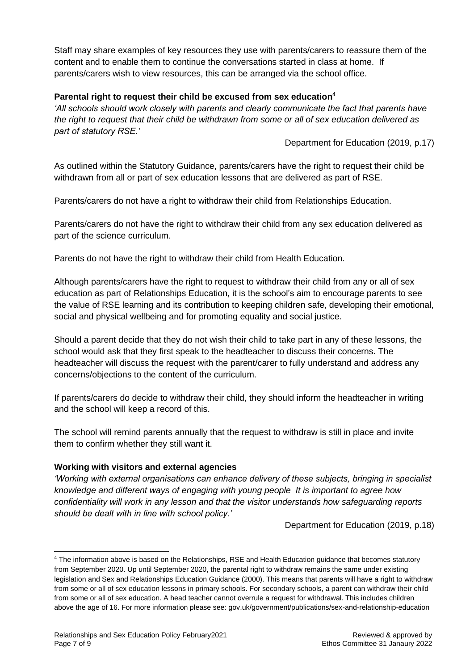Staff may share examples of key resources they use with parents/carers to reassure them of the content and to enable them to continue the conversations started in class at home. If parents/carers wish to view resources, this can be arranged via the school office.

## **Parental right to request their child be excused from sex education<sup>4</sup>**

*'All schools should work closely with parents and clearly communicate the fact that parents have the right to request that their child be withdrawn from some or all of sex education delivered as part of statutory RSE.'*

Department for Education (2019, p.17)

As outlined within the Statutory Guidance, parents/carers have the right to request their child be withdrawn from all or part of sex education lessons that are delivered as part of RSE.

Parents/carers do not have a right to withdraw their child from Relationships Education.

Parents/carers do not have the right to withdraw their child from any sex education delivered as part of the science curriculum.

Parents do not have the right to withdraw their child from Health Education.

Although parents/carers have the right to request to withdraw their child from any or all of sex education as part of Relationships Education, it is the school's aim to encourage parents to see the value of RSE learning and its contribution to keeping children safe, developing their emotional, social and physical wellbeing and for promoting equality and social justice.

Should a parent decide that they do not wish their child to take part in any of these lessons, the school would ask that they first speak to the headteacher to discuss their concerns. The headteacher will discuss the request with the parent/carer to fully understand and address any concerns/objections to the content of the curriculum.

If parents/carers do decide to withdraw their child, they should inform the headteacher in writing and the school will keep a record of this.

The school will remind parents annually that the request to withdraw is still in place and invite them to confirm whether they still want it.

# **Working with visitors and external agencies**

*'Working with external organisations can enhance delivery of these subjects, bringing in specialist knowledge and different ways of engaging with young people It is important to agree how confidentiality will work in any lesson and that the visitor understands how safeguarding reports should be dealt with in line with school policy.'*

Department for Education (2019, p.18)

<sup>4</sup> The information above is based on the Relationships, RSE and Health Education guidance that becomes statutory from September 2020. Up until September 2020, the parental right to withdraw remains the same under existing legislation and Sex and Relationships Education Guidance (2000). This means that parents will have a right to withdraw from some or all of sex education lessons in primary schools. For secondary schools, a parent can withdraw their child from some or all of sex education. A head teacher cannot overrule a request for withdrawal. This includes children above the age of 16. For more information please see: gov.uk/government/publications/sex-and-relationship-education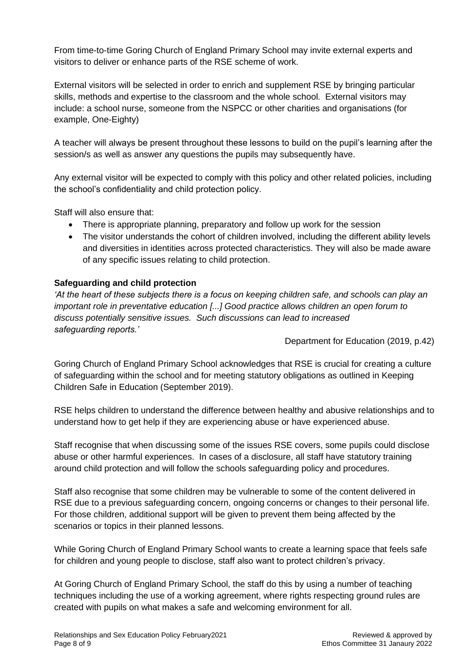From time-to-time Goring Church of England Primary School may invite external experts and visitors to deliver or enhance parts of the RSE scheme of work.

External visitors will be selected in order to enrich and supplement RSE by bringing particular skills, methods and expertise to the classroom and the whole school. External visitors may include: a school nurse, someone from the NSPCC or other charities and organisations (for example, One-Eighty)

A teacher will always be present throughout these lessons to build on the pupil's learning after the session/s as well as answer any questions the pupils may subsequently have.

Any external visitor will be expected to comply with this policy and other related policies, including the school's confidentiality and child protection policy.

Staff will also ensure that:

- There is appropriate planning, preparatory and follow up work for the session
- The visitor understands the cohort of children involved, including the different ability levels and diversities in identities across protected characteristics. They will also be made aware of any specific issues relating to child protection.

### **Safeguarding and child protection**

*'At the heart of these subjects there is a focus on keeping children safe, and schools can play an important role in preventative education [...] Good practice allows children an open forum to discuss potentially sensitive issues. Such discussions can lead to increased safeguarding reports.'*

Department for Education (2019, p.42)

Goring Church of England Primary School acknowledges that RSE is crucial for creating a culture of safeguarding within the school and for meeting statutory obligations as outlined in Keeping Children Safe in Education (September 2019).

RSE helps children to understand the difference between healthy and abusive relationships and to understand how to get help if they are experiencing abuse or have experienced abuse.

Staff recognise that when discussing some of the issues RSE covers, some pupils could disclose abuse or other harmful experiences. In cases of a disclosure, all staff have statutory training around child protection and will follow the schools safeguarding policy and procedures.

Staff also recognise that some children may be vulnerable to some of the content delivered in RSE due to a previous safeguarding concern, ongoing concerns or changes to their personal life. For those children, additional support will be given to prevent them being affected by the scenarios or topics in their planned lessons.

While Goring Church of England Primary School wants to create a learning space that feels safe for children and young people to disclose, staff also want to protect children's privacy.

At Goring Church of England Primary School, the staff do this by using a number of teaching techniques including the use of a working agreement, where rights respecting ground rules are created with pupils on what makes a safe and welcoming environment for all.